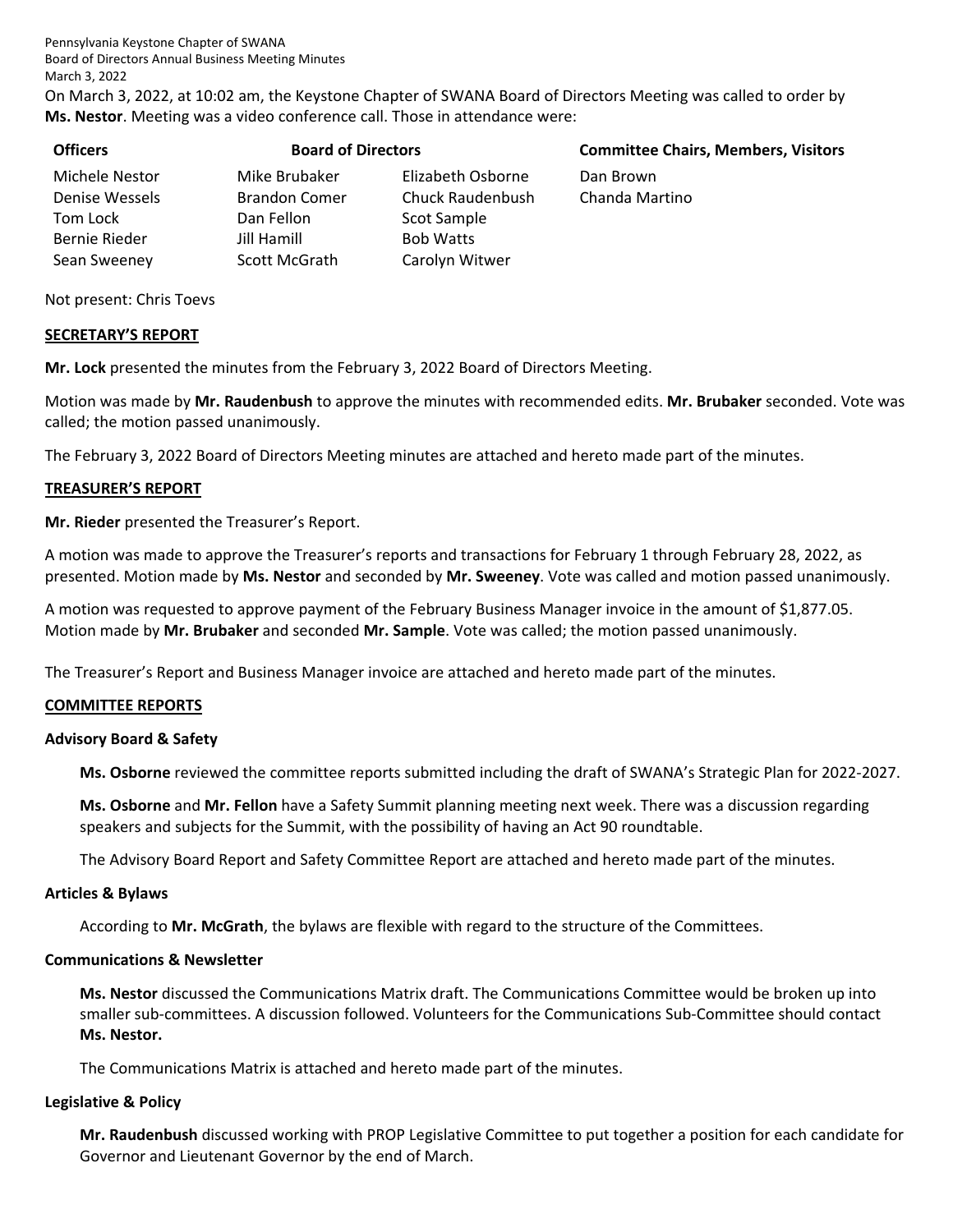Pennsylvania Keystone Chapter of SWANA Board of Directors Annual Business Meeting Minutes March 3, 2022

On March 3, 2022, at 10:02 am, the Keystone Chapter of SWANA Board of Directors Meeting was called to order by **Ms. Nestor**. Meeting was a video conference call. Those in attendance were:

| <b>Officers</b> | <b>Board of Directors</b> |                   | <b>Committee Chairs, Members, Visitors</b> |
|-----------------|---------------------------|-------------------|--------------------------------------------|
| Michele Nestor  | Mike Brubaker             | Elizabeth Osborne | Dan Brown                                  |
| Denise Wessels  | <b>Brandon Comer</b>      | Chuck Raudenbush  | Chanda Martino                             |
| Tom Lock        | Dan Fellon                | Scot Sample       |                                            |
| Bernie Rieder   | Jill Hamill               | <b>Bob Watts</b>  |                                            |
| Sean Sweeney    | Scott McGrath             | Carolyn Witwer    |                                            |

Not present: Chris Toevs

#### **SECRETARY'S REPORT**

**Mr. Lock** presented the minutes from the February 3, 2022 Board of Directors Meeting.

Motion was made by **Mr. Raudenbush** to approve the minutes with recommended edits. **Mr. Brubaker** seconded. Vote was called; the motion passed unanimously.

The February 3, 2022 Board of Directors Meeting minutes are attached and hereto made part of the minutes.

#### **TREASURER'S REPORT**

**Mr. Rieder** presented the Treasurer's Report.

A motion was made to approve the Treasurer's reports and transactions for February 1 through February 28, 2022, as presented. Motion made by **Ms. Nestor** and seconded by **Mr. Sweeney**. Vote was called and motion passed unanimously.

A motion was requested to approve payment of the February Business Manager invoice in the amount of \$1,877.05. Motion made by **Mr. Brubaker** and seconded **Mr. Sample**. Vote was called; the motion passed unanimously.

The Treasurer's Report and Business Manager invoice are attached and hereto made part of the minutes.

#### **COMMITTEE REPORTS**

#### **Advisory Board & Safety**

**Ms. Osborne** reviewed the committee reports submitted including the draft of SWANA's Strategic Plan for 2022‐2027.

**Ms. Osborne** and **Mr. Fellon** have a Safety Summit planning meeting next week. There was a discussion regarding speakers and subjects for the Summit, with the possibility of having an Act 90 roundtable.

The Advisory Board Report and Safety Committee Report are attached and hereto made part of the minutes.

#### **Articles & Bylaws**

According to **Mr. McGrath**, the bylaws are flexible with regard to the structure of the Committees.

# **Communications & Newsletter**

**Ms. Nestor** discussed the Communications Matrix draft. The Communications Committee would be broken up into smaller sub‐committees. A discussion followed. Volunteers for the Communications Sub‐Committee should contact **Ms. Nestor.**

The Communications Matrix is attached and hereto made part of the minutes.

#### **Legislative & Policy**

**Mr. Raudenbush** discussed working with PROP Legislative Committee to put together a position for each candidate for Governor and Lieutenant Governor by the end of March.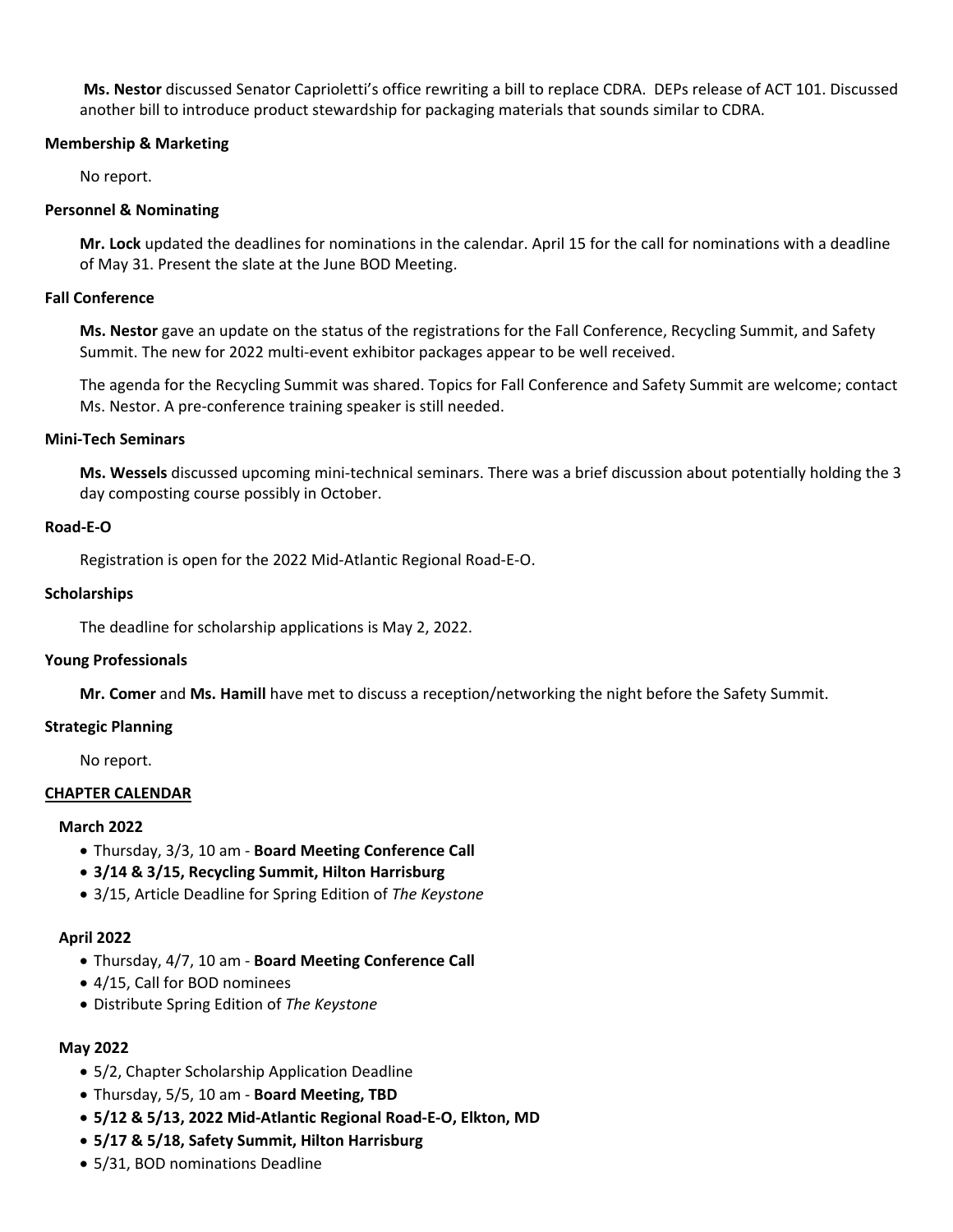**Ms. Nestor** discussed Senator Caprioletti's office rewriting a bill to replace CDRA. DEPs release of ACT 101. Discussed another bill to introduce product stewardship for packaging materials that sounds similar to CDRA.

# **Membership & Marketing**

No report.

# **Personnel & Nominating**

**Mr. Lock** updated the deadlines for nominations in the calendar. April 15 for the call for nominations with a deadline of May 31. Present the slate at the June BOD Meeting.

#### **Fall Conference**

**Ms. Nestor** gave an update on the status of the registrations for the Fall Conference, Recycling Summit, and Safety Summit. The new for 2022 multi-event exhibitor packages appear to be well received.

The agenda for the Recycling Summit was shared. Topics for Fall Conference and Safety Summit are welcome; contact Ms. Nestor. A pre‐conference training speaker is still needed.

# **Mini‐Tech Seminars**

**Ms. Wessels** discussed upcoming mini‐technical seminars. There was a brief discussion about potentially holding the 3 day composting course possibly in October.

# **Road‐E‐O**

Registration is open for the 2022 Mid‐Atlantic Regional Road‐E‐O.

# **Scholarships**

The deadline for scholarship applications is May 2, 2022.

#### **Young Professionals**

**Mr. Comer** and **Ms. Hamill** have met to discuss a reception/networking the night before the Safety Summit.

# **Strategic Planning**

No report.

#### **CHAPTER CALENDAR**

#### **March 2022**

- Thursday, 3/3, 10 am ‐ **Board Meeting Conference Call**
- **3/14 & 3/15, Recycling Summit, Hilton Harrisburg**
- 3/15, Article Deadline for Spring Edition of *The Keystone*

# **April 2022**

- Thursday, 4/7, 10 am ‐ **Board Meeting Conference Call**
- 4/15, Call for BOD nominees
- Distribute Spring Edition of *The Keystone*

# **May 2022**

- 5/2, Chapter Scholarship Application Deadline
- Thursday, 5/5, 10 am ‐ **Board Meeting, TBD**
- **5/12 & 5/13, 2022 Mid‐Atlantic Regional Road‐E‐O, Elkton, MD**
- **5/17 & 5/18, Safety Summit, Hilton Harrisburg**
- 5/31, BOD nominations Deadline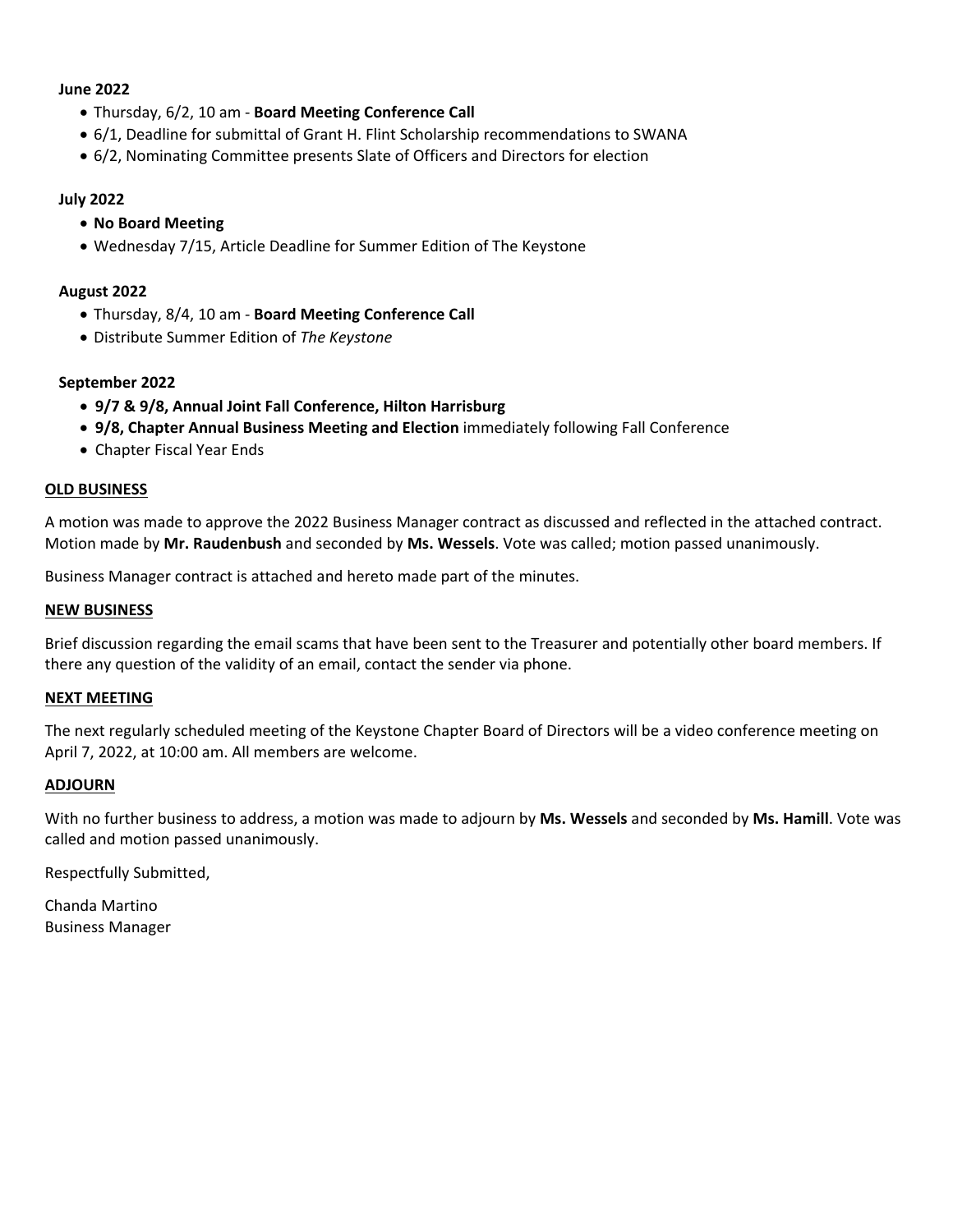#### **June 2022**

- Thursday, 6/2, 10 am ‐ **Board Meeting Conference Call**
- 6/1, Deadline for submittal of Grant H. Flint Scholarship recommendations to SWANA
- 6/2, Nominating Committee presents Slate of Officers and Directors for election

#### **July 2022**

- **No Board Meeting**
- Wednesday 7/15, Article Deadline for Summer Edition of The Keystone

#### **August 2022**

- Thursday, 8/4, 10 am ‐ **Board Meeting Conference Call**
- Distribute Summer Edition of *The Keystone*

# **September 2022**

- **9/7 & 9/8, Annual Joint Fall Conference, Hilton Harrisburg**
- **9/8, Chapter Annual Business Meeting and Election** immediately following Fall Conference
- Chapter Fiscal Year Ends

#### **OLD BUSINESS**

A motion was made to approve the 2022 Business Manager contract as discussed and reflected in the attached contract. Motion made by **Mr. Raudenbush** and seconded by **Ms. Wessels**. Vote was called; motion passed unanimously.

Business Manager contract is attached and hereto made part of the minutes.

#### **NEW BUSINESS**

Brief discussion regarding the email scams that have been sent to the Treasurer and potentially other board members. If there any question of the validity of an email, contact the sender via phone.

#### **NEXT MEETING**

The next regularly scheduled meeting of the Keystone Chapter Board of Directors will be a video conference meeting on April 7, 2022, at 10:00 am. All members are welcome.

#### **ADJOURN**

With no further business to address, a motion was made to adjourn by **Ms. Wessels** and seconded by **Ms. Hamill**. Vote was called and motion passed unanimously.

Respectfully Submitted,

Chanda Martino Business Manager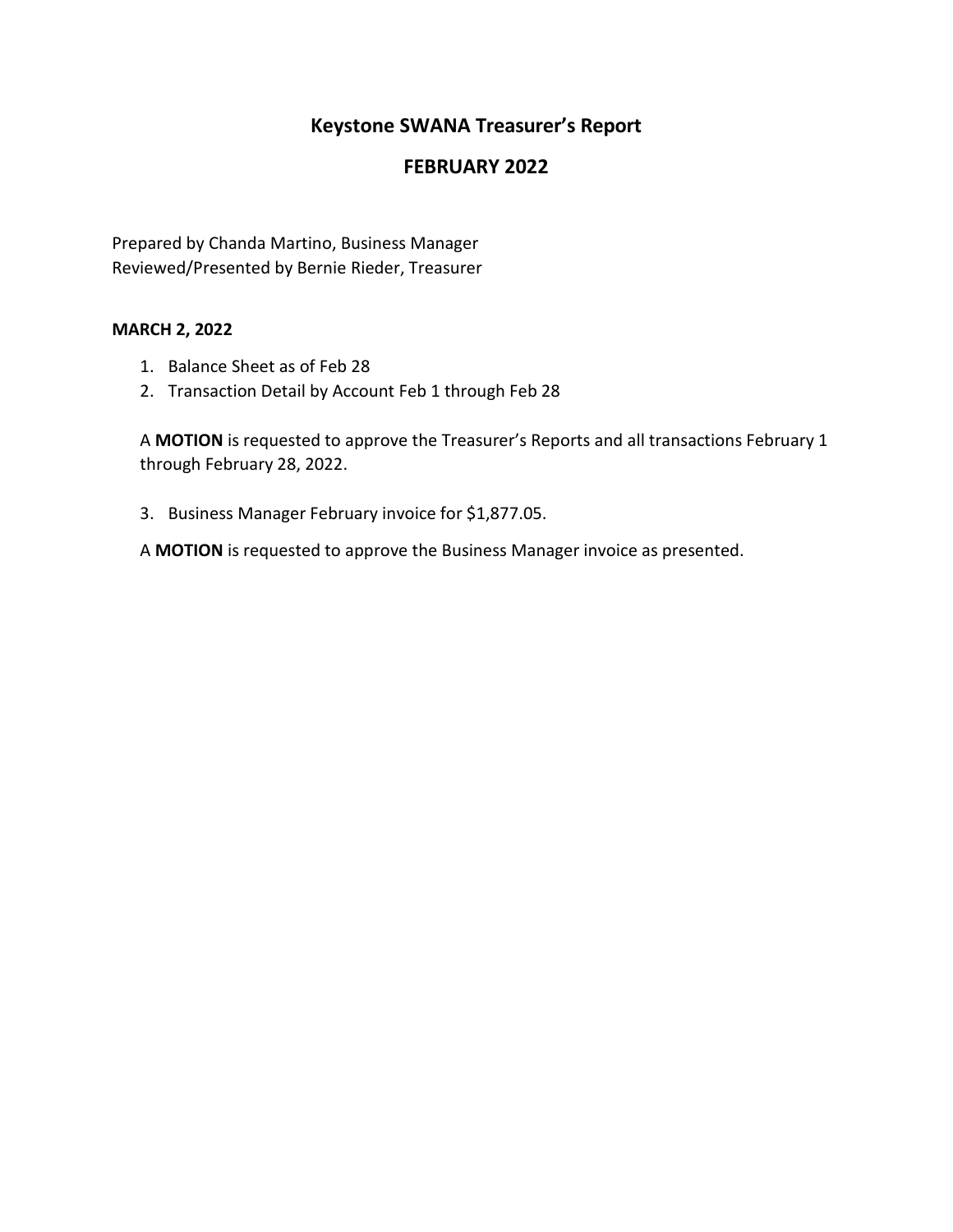# **Keystone SWANA Treasurer's Report**

# **FEBRUARY 2022**

Prepared by Chanda Martino, Business Manager Reviewed/Presented by Bernie Rieder, Treasurer

# **MARCH 2, 2022**

- 1. Balance Sheet as of Feb 28
- 2. Transaction Detail by Account Feb 1 through Feb 28

A **MOTION** is requested to approve the Treasurer's Reports and all transactions February 1 through February 28, 2022.

3. Business Manager February invoice for \$1,877.05.

A **MOTION** is requested to approve the Business Manager invoice as presented.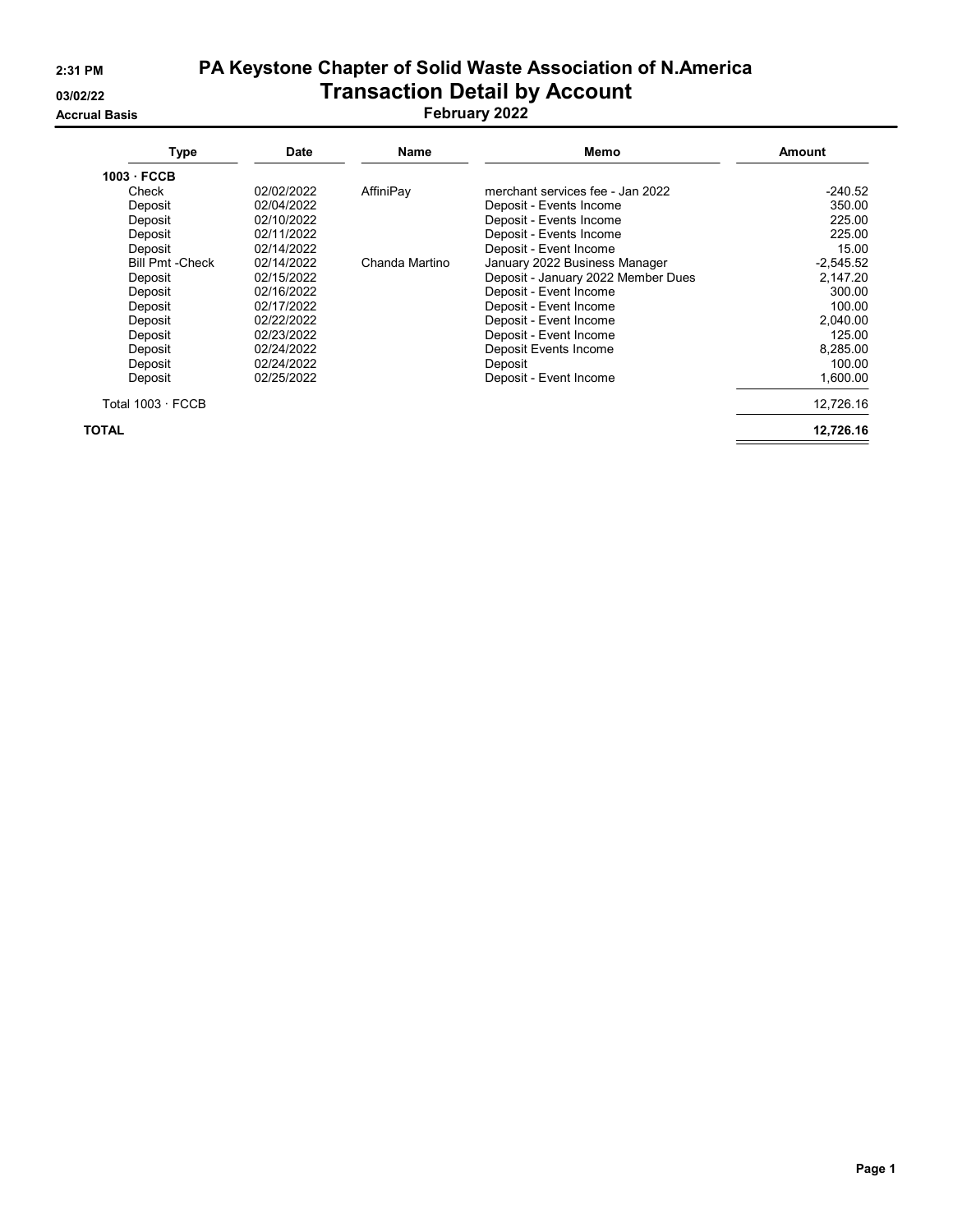# 2:31 PM PA Keystone Chapter of Solid Waste Association of N.America 03/02/22 **Transaction Detail by Account**

Accrual Basis February 2022

| <b>Type</b>             | <b>Date</b> | Name           | Memo                               | <b>Amount</b> |
|-------------------------|-------------|----------------|------------------------------------|---------------|
| 1003 FCCB               |             |                |                                    |               |
| Check                   | 02/02/2022  | AffiniPay      | merchant services fee - Jan 2022   | $-240.52$     |
| Deposit                 | 02/04/2022  |                | Deposit - Events Income            | 350.00        |
| Deposit                 | 02/10/2022  |                | Deposit - Events Income            | 225.00        |
| Deposit                 | 02/11/2022  |                | Deposit - Events Income            | 225.00        |
| Deposit                 | 02/14/2022  |                | Deposit - Event Income             | 15.00         |
| <b>Bill Pmt - Check</b> | 02/14/2022  | Chanda Martino | January 2022 Business Manager      | $-2.545.52$   |
| Deposit                 | 02/15/2022  |                | Deposit - January 2022 Member Dues | 2,147.20      |
| Deposit                 | 02/16/2022  |                | Deposit - Event Income             | 300.00        |
| Deposit                 | 02/17/2022  |                | Deposit - Event Income             | 100.00        |
| Deposit                 | 02/22/2022  |                | Deposit - Event Income             | 2.040.00      |
| Deposit                 | 02/23/2022  |                | Deposit - Event Income             | 125.00        |
| Deposit                 | 02/24/2022  |                | Deposit Events Income              | 8,285.00      |
| Deposit                 | 02/24/2022  |                | Deposit                            | 100.00        |
| Deposit                 | 02/25/2022  |                | Deposit - Event Income             | 1,600.00      |
| Total $1003 \cdot$ FCCB |             |                |                                    | 12,726.16     |
| TOTAL                   |             |                |                                    | 12,726.16     |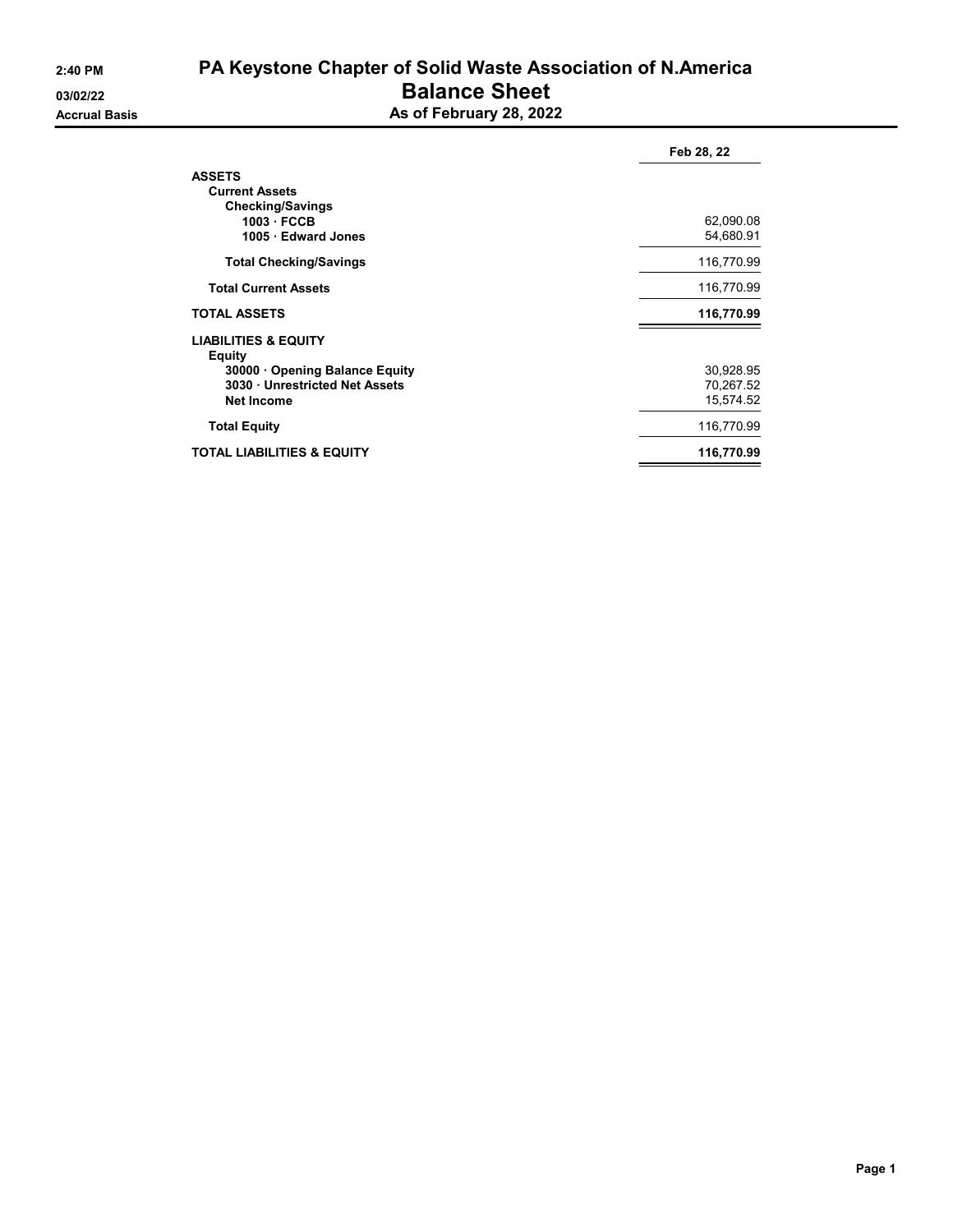# 2:40 PM PA Keystone Chapter of Solid Waste Association of N.America 03/02/22 **Balance Sheet**

|                         |  | _ _ _ _ _ _ _ _ _ _ _ _ |  |  |  |
|-------------------------|--|-------------------------|--|--|--|
| As of February 28, 2022 |  |                         |  |  |  |

|                                                                                                                                       | Feb 28, 22                          |
|---------------------------------------------------------------------------------------------------------------------------------------|-------------------------------------|
| <b>ASSETS</b><br><b>Current Assets</b><br><b>Checking/Savings</b>                                                                     |                                     |
| 1003 FCCB<br>1005 · Edward Jones                                                                                                      | 62,090.08<br>54,680.91              |
| <b>Total Checking/Savings</b>                                                                                                         | 116,770.99                          |
| <b>Total Current Assets</b>                                                                                                           | 116,770.99                          |
| <b>TOTAL ASSETS</b>                                                                                                                   | 116,770.99                          |
| <b>LIABILITIES &amp; EQUITY</b><br><b>Equity</b><br>30000 Opening Balance Equity<br>3030 Unrestricted Net Assets<br><b>Net Income</b> | 30,928.95<br>70,267.52<br>15,574.52 |
| <b>Total Equity</b>                                                                                                                   | 116,770.99                          |
| TOTAL LIABILITIES & EQUITY                                                                                                            | 116,770.99                          |
|                                                                                                                                       |                                     |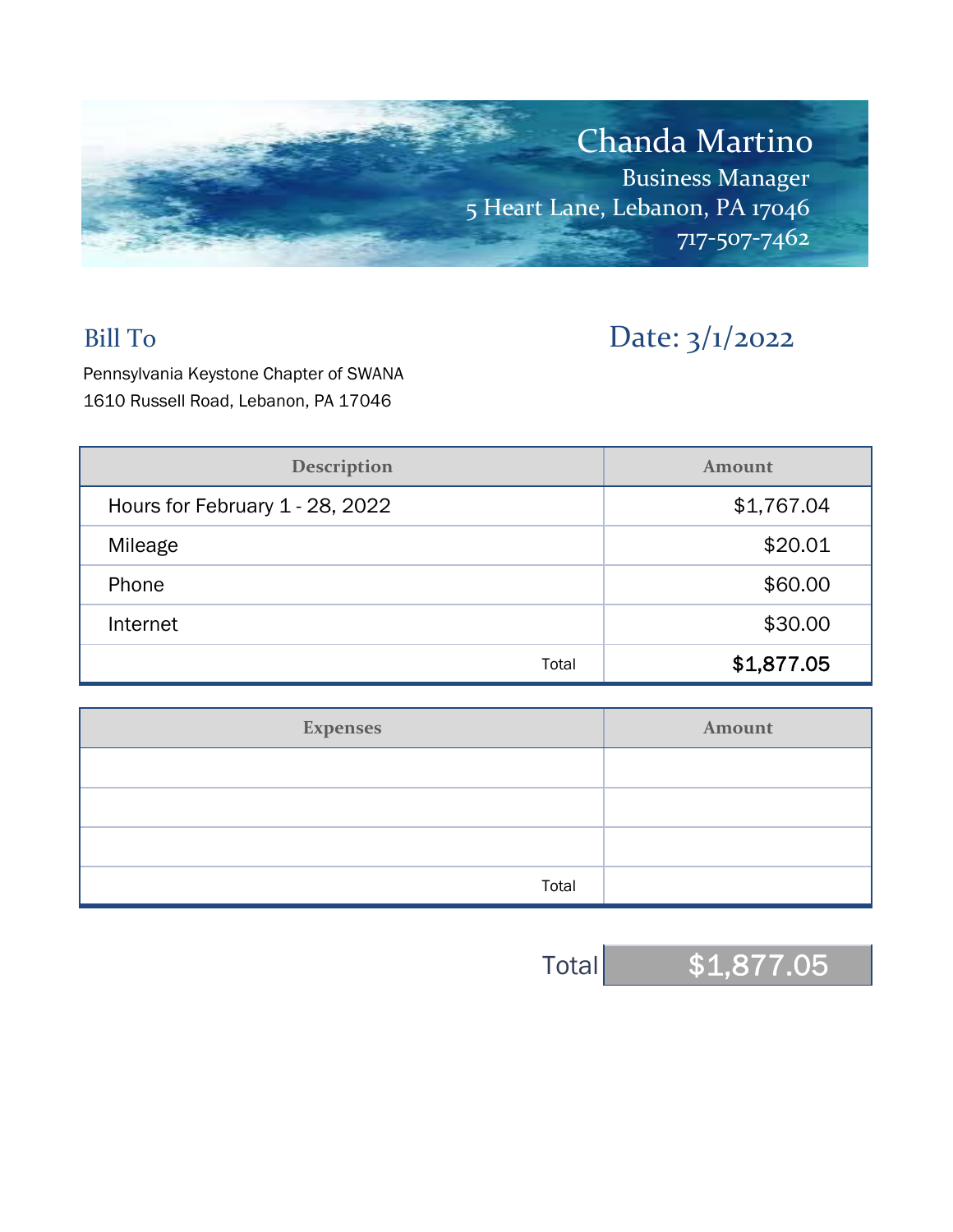

# Bill To Date: 3/1/2022

Pennsylvania Keystone Chapter of SWANA 1610 Russell Road, Lebanon, PA 17046

| <b>Description</b>              | Amount     |  |  |
|---------------------------------|------------|--|--|
| Hours for February 1 - 28, 2022 | \$1,767.04 |  |  |
| Mileage                         | \$20.01    |  |  |
| Phone                           | \$60.00    |  |  |
| Internet                        | \$30.00    |  |  |
| Total                           | \$1,877.05 |  |  |

| <b>Expenses</b> | Amount |
|-----------------|--------|
|                 |        |
|                 |        |
|                 |        |
| Total           |        |

Total \$1,877.05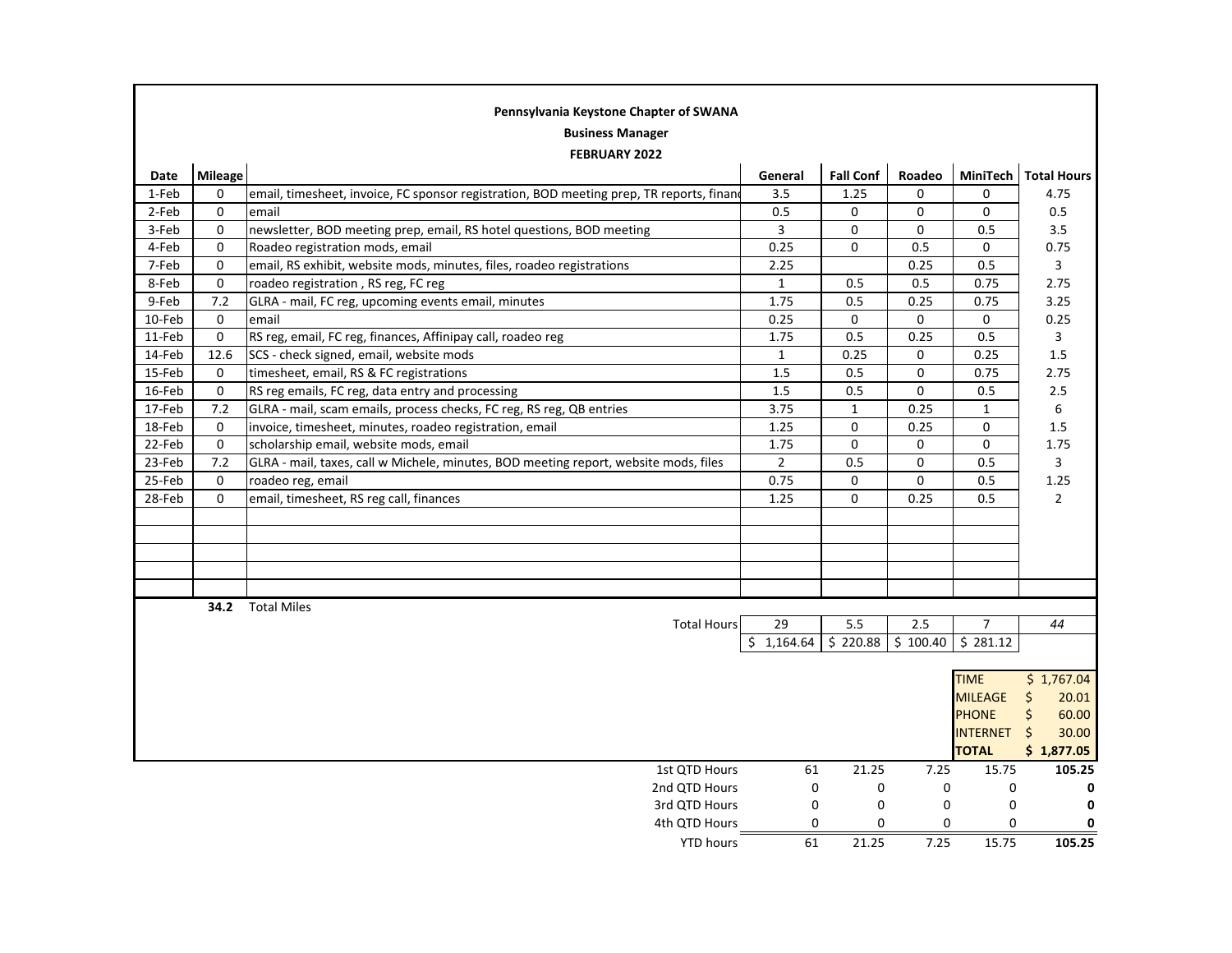| Pennsylvania Keystone Chapter of SWANA |             |                                                                                          |                |                  |             |                 |                  |  |
|----------------------------------------|-------------|------------------------------------------------------------------------------------------|----------------|------------------|-------------|-----------------|------------------|--|
| <b>Business Manager</b>                |             |                                                                                          |                |                  |             |                 |                  |  |
|                                        |             | <b>FEBRUARY 2022</b>                                                                     |                |                  |             |                 |                  |  |
| Date                                   | Mileage     |                                                                                          | General        | <b>Fall Conf</b> | Roadeo      | MiniTech        | Total Hours      |  |
| 1-Feb                                  | $\Omega$    | email, timesheet, invoice, FC sponsor registration, BOD meeting prep, TR reports, finand | 3.5            | 1.25             | 0           | 0               | 4.75             |  |
| 2-Feb                                  | 0           | email                                                                                    | 0.5            | 0                | 0           | 0               | 0.5              |  |
| 3-Feb                                  | $\mathbf 0$ | newsletter, BOD meeting prep, email, RS hotel questions, BOD meeting                     | 3              | 0                | 0           | 0.5             | 3.5              |  |
| 4-Feb                                  | $\mathbf 0$ | Roadeo registration mods, email                                                          | 0.25           | 0                | 0.5         | 0               | 0.75             |  |
| 7-Feb                                  | $\mathbf 0$ | email, RS exhibit, website mods, minutes, files, roadeo registrations                    | 2.25           |                  | 0.25        | 0.5             | 3                |  |
| 8-Feb                                  | 0           | roadeo registration, RS reg, FC reg                                                      | $\mathbf{1}$   | 0.5              | 0.5         | 0.75            | 2.75             |  |
| 9-Feb                                  | 7.2         | GLRA - mail, FC reg, upcoming events email, minutes                                      | 1.75           | 0.5              | 0.25        | 0.75            | 3.25             |  |
| 10-Feb                                 | 0           | email                                                                                    | 0.25           | 0                | 0           | 0               | 0.25             |  |
| 11-Feb                                 | 0           | RS reg, email, FC reg, finances, Affinipay call, roadeo reg                              | 1.75           | 0.5              | 0.25        | 0.5             | 3                |  |
| 14-Feb                                 | 12.6        | SCS - check signed, email, website mods                                                  | $\mathbf{1}$   | 0.25             | 0           | 0.25            | 1.5              |  |
| 15-Feb                                 | 0           | timesheet, email, RS & FC registrations                                                  | 1.5            | 0.5              | 0           | 0.75            | 2.75             |  |
| 16-Feb                                 | $\pmb{0}$   | RS reg emails, FC reg, data entry and processing                                         | 1.5            | 0.5              | $\mathbf 0$ | 0.5             | 2.5              |  |
| 17-Feb                                 | 7.2         | GLRA - mail, scam emails, process checks, FC reg, RS reg, QB entries                     | 3.75           | $\mathbf{1}$     | 0.25        | $\mathbf{1}$    | 6                |  |
| 18-Feb                                 | 0           | invoice, timesheet, minutes, roadeo registration, email                                  | 1.25           | 0                | 0.25        | 0               | 1.5              |  |
| 22-Feb                                 | $\mathbf 0$ | scholarship email, website mods, email                                                   | 1.75           | 0                | 0           | 0               | 1.75             |  |
| 23-Feb                                 | 7.2         | GLRA - mail, taxes, call w Michele, minutes, BOD meeting report, website mods, files     | $\overline{2}$ | 0.5              | 0           | 0.5             | 3                |  |
| 25-Feb                                 | 0           | roadeo reg, email                                                                        | 0.75           | 0                | 0           | 0.5             | 1.25             |  |
| 28-Feb                                 | $\mathbf 0$ | email, timesheet, RS reg call, finances                                                  | 1.25           | 0                | 0.25        | 0.5             | $\overline{2}$   |  |
|                                        |             |                                                                                          |                |                  |             |                 |                  |  |
|                                        |             |                                                                                          |                |                  |             |                 |                  |  |
|                                        |             |                                                                                          |                |                  |             |                 |                  |  |
|                                        |             |                                                                                          |                |                  |             |                 |                  |  |
|                                        |             |                                                                                          |                |                  |             |                 |                  |  |
|                                        | 34.2        | <b>Total Miles</b>                                                                       |                |                  |             |                 |                  |  |
|                                        |             | <b>Total Hours</b>                                                                       | 29             | 5.5              | 2.5         | $\overline{7}$  | 44               |  |
|                                        |             |                                                                                          | \$1,164.64     | \$220.88         | \$100.40    | \$281.12        |                  |  |
|                                        |             |                                                                                          |                |                  |             |                 |                  |  |
|                                        |             |                                                                                          |                |                  |             | <b>TIME</b>     | \$1,767.04       |  |
|                                        |             |                                                                                          |                |                  |             | <b>MILEAGE</b>  | \$<br>20.01      |  |
|                                        |             |                                                                                          |                |                  |             | <b>PHONE</b>    | \$<br>60.00      |  |
|                                        |             |                                                                                          |                |                  |             | <b>INTERNET</b> | $\zeta$<br>30.00 |  |
|                                        |             |                                                                                          |                |                  |             | <b>TOTAL</b>    | \$1,877.05       |  |
|                                        |             | 1st QTD Hours                                                                            | 61             | 21.25            | 7.25        | 15.75           | 105.25           |  |
|                                        |             | 2nd QTD Hours                                                                            | 0              | $\pmb{0}$        | 0           | 0               | 0                |  |
|                                        |             | 3rd QTD Hours                                                                            | 0              | $\mathbf 0$      | 0           | 0               | 0                |  |
|                                        |             | 4th QTD Hours                                                                            | 0              | 0                | 0           | 0               | $\mathbf 0$      |  |
|                                        |             | <b>YTD hours</b>                                                                         | 61             | 21.25            | 7.25        | 15.75           | 105.25           |  |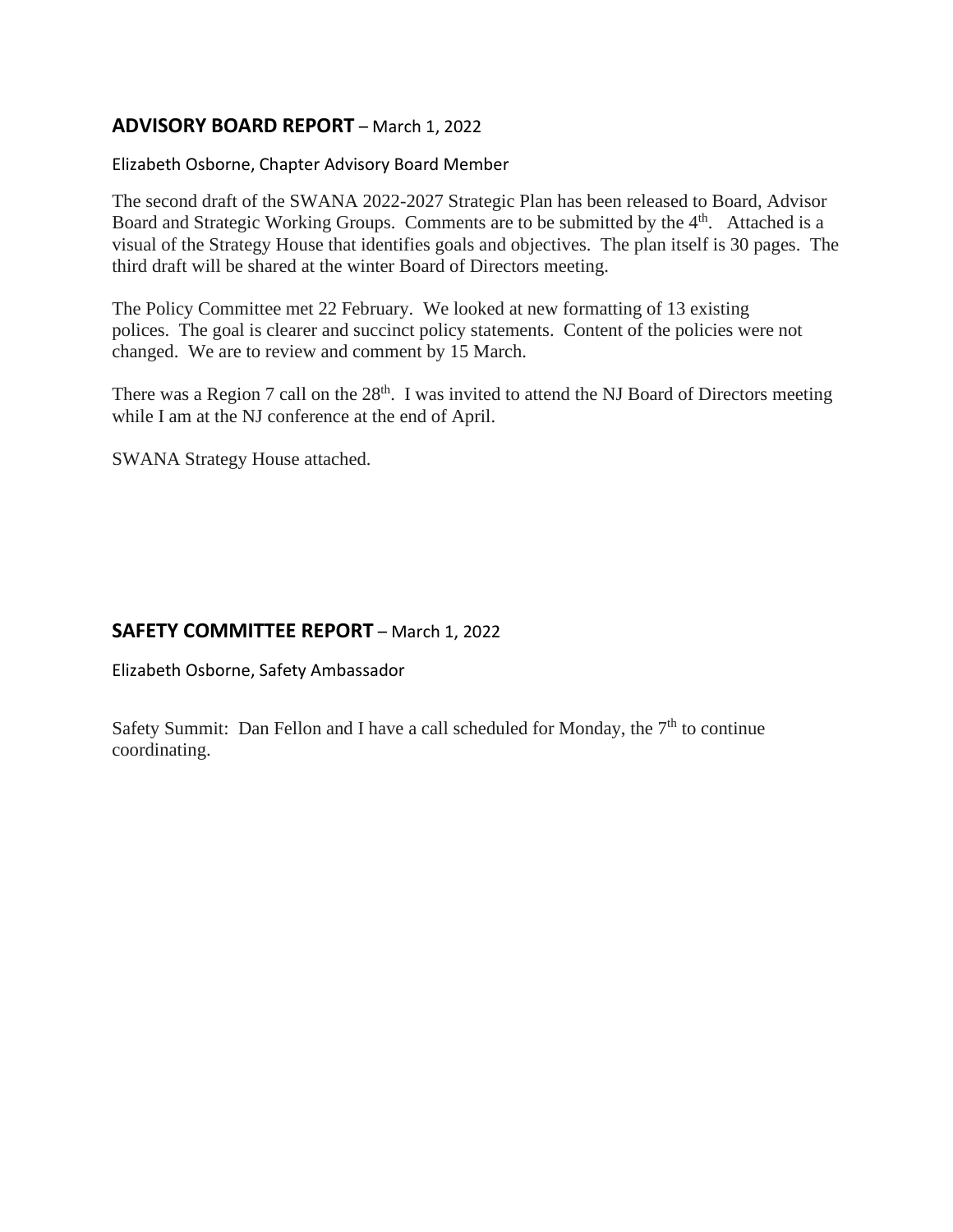# **ADVISORY BOARD REPORT** – March 1, 2022

# Elizabeth Osborne, Chapter Advisory Board Member

The second draft of the SWANA 2022-2027 Strategic Plan has been released to Board, Advisor Board and Strategic Working Groups. Comments are to be submitted by the  $4<sup>th</sup>$ . Attached is a visual of the Strategy House that identifies goals and objectives. The plan itself is 30 pages. The third draft will be shared at the winter Board of Directors meeting.

The Policy Committee met 22 February. We looked at new formatting of 13 existing polices. The goal is clearer and succinct policy statements. Content of the policies were not changed. We are to review and comment by 15 March.

There was a Region 7 call on the  $28<sup>th</sup>$ . I was invited to attend the NJ Board of Directors meeting while I am at the NJ conference at the end of April.

SWANA Strategy House attached.

# **SAFETY COMMITTEE REPORT** – March 1, 2022

Elizabeth Osborne, Safety Ambassador

Safety Summit: Dan Fellon and I have a call scheduled for Monday, the  $7<sup>th</sup>$  to continue coordinating.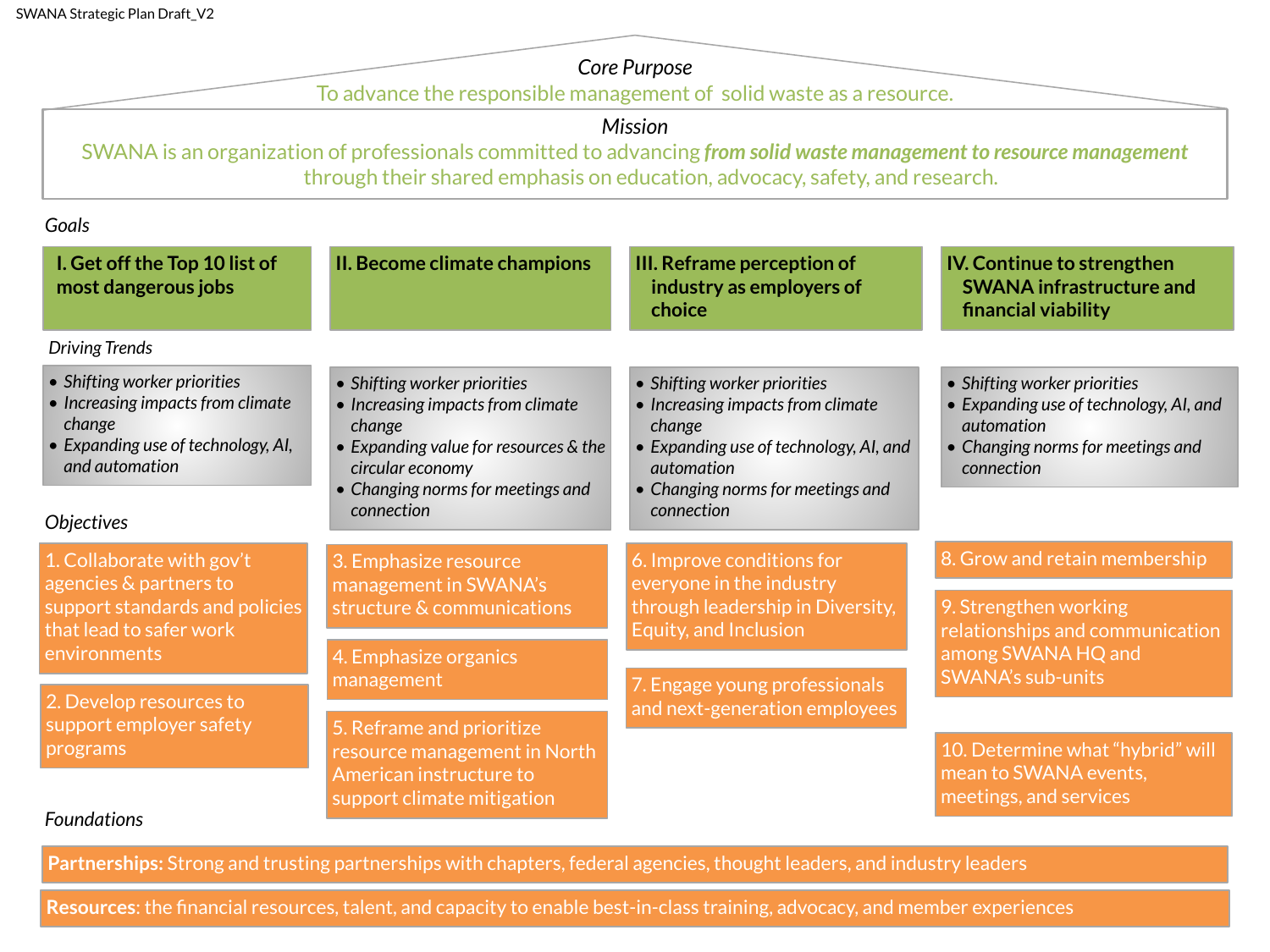# *Core Purpose*

To advance the responsible management of solid waste as a resource.

# *Mission*

SWANA is an organization of professionals committed to advancing *from solid waste management to resource management*  through their shared emphasis on education, advocacy, safety, and research.

| Goals                                                                                                                               |                                                                                                                                                                               |                                                                                                                                                                                        |                                                                                                                                                       |  |  |
|-------------------------------------------------------------------------------------------------------------------------------------|-------------------------------------------------------------------------------------------------------------------------------------------------------------------------------|----------------------------------------------------------------------------------------------------------------------------------------------------------------------------------------|-------------------------------------------------------------------------------------------------------------------------------------------------------|--|--|
| I. Get off the Top 10 list of<br>most dangerous jobs                                                                                | II. Become climate champions                                                                                                                                                  | III. Reframe perception of<br>industry as employers of<br>choice                                                                                                                       | <b>IV. Continue to strengthen</b><br><b>SWANA</b> infrastructure and<br>financial viability                                                           |  |  |
| <b>Driving Trends</b>                                                                                                               |                                                                                                                                                                               |                                                                                                                                                                                        |                                                                                                                                                       |  |  |
| • Shifting worker priorities<br>• Increasing impacts from climate<br>change<br>• Expanding use of technology, AI,<br>and automation | • Shifting worker priorities<br>• Increasing impacts from climate<br>change<br>• Expanding value for resources & the<br>circular economy<br>• Changing norms for meetings and | • Shifting worker priorities<br>• Increasing impacts from climate<br>change<br>• Expanding use of technology, AI, and<br><i><u>automation</u></i><br>• Changing norms for meetings and | • Shifting worker priorities<br>• Expanding use of technology, AI, and<br><i><u>automation</u></i><br>• Changing norms for meetings and<br>connection |  |  |
| Objectives                                                                                                                          | connection                                                                                                                                                                    | connection                                                                                                                                                                             |                                                                                                                                                       |  |  |
| 1. Collaborate with gov't                                                                                                           | 3. Emphasize resource                                                                                                                                                         | 6. Improve conditions for<br>everyone in the industry                                                                                                                                  | 8. Grow and retain membership                                                                                                                         |  |  |
| agencies & partners to<br>support standards and policies<br>that lead to safer work                                                 | management in SWANA's<br>structure & communications                                                                                                                           | through leadership in Diversity,<br>Equity, and Inclusion                                                                                                                              | 9. Strengthen working<br>relationships and communication                                                                                              |  |  |
| environments                                                                                                                        | 4. Emphasize organics<br>management                                                                                                                                           |                                                                                                                                                                                        | among SWANA HQ and<br><b>SWANA's sub-units</b>                                                                                                        |  |  |
| 2. Develop resources to<br>support employer safety                                                                                  |                                                                                                                                                                               | 7. Engage young professionals<br>and next-generation employees                                                                                                                         |                                                                                                                                                       |  |  |
| programs                                                                                                                            | 5. Reframe and prioritize<br>resource management in North                                                                                                                     |                                                                                                                                                                                        | 10. Determine what "hybrid" will                                                                                                                      |  |  |
| <b>Foundations</b>                                                                                                                  | American instructure to<br>support climate mitigation                                                                                                                         |                                                                                                                                                                                        | mean to SWANA events,<br>meetings, and services                                                                                                       |  |  |

**Partnerships:** Strong and trusting partnerships with chapters, federal agencies, thought leaders, and industry leaders

**Resources**: the financial resources, talent, and capacity to enable best-in-class training, advocacy, and member experiences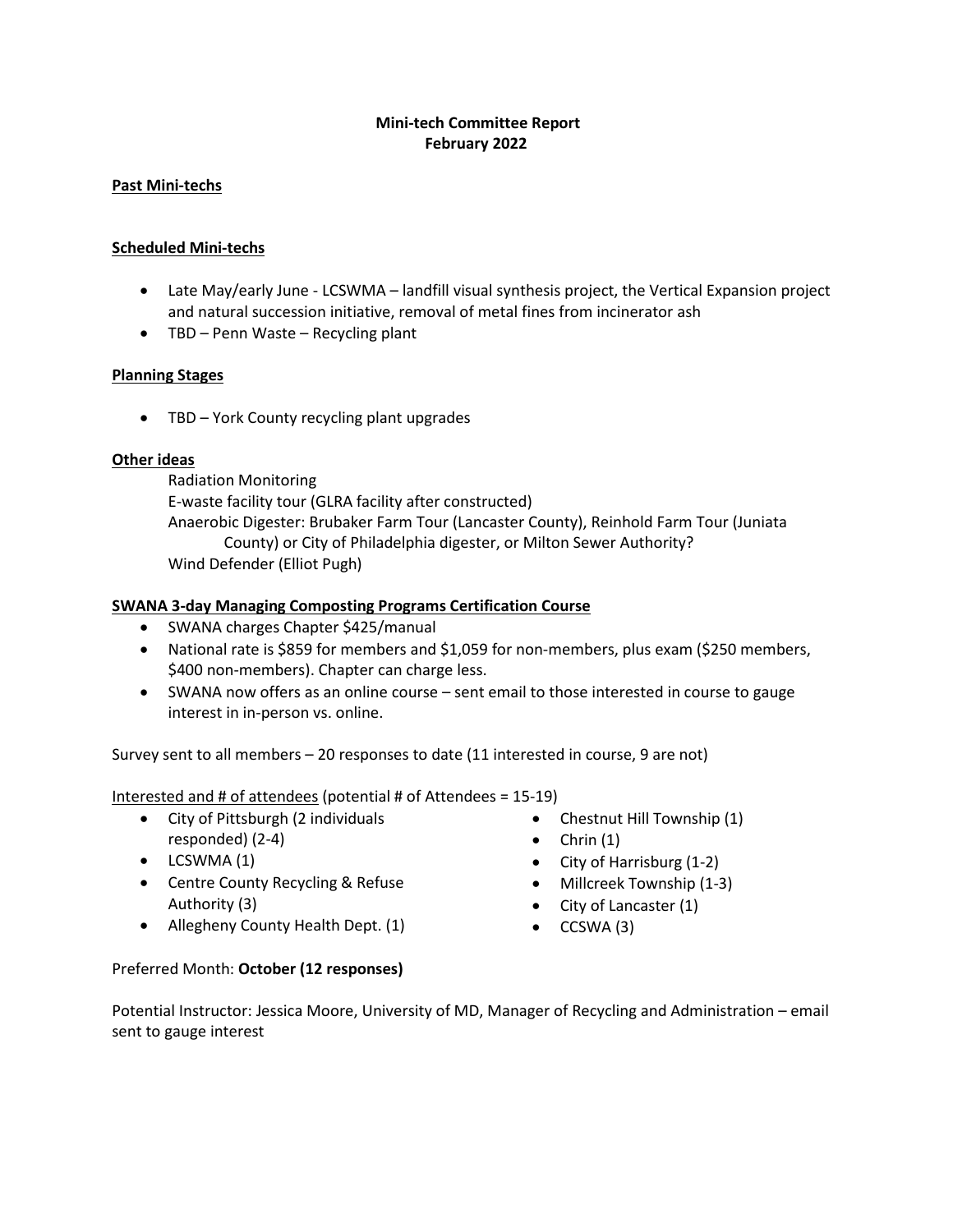# **Mini-tech Committee Report February 2022**

# **Past Mini-techs**

# **Scheduled Mini-techs**

- Late May/early June LCSWMA landfill visual synthesis project, the Vertical Expansion project and natural succession initiative, removal of metal fines from incinerator ash
- TBD Penn Waste Recycling plant

# **Planning Stages**

• TBD – York County recycling plant upgrades

# **Other ideas**

Radiation Monitoring E-waste facility tour (GLRA facility after constructed) Anaerobic Digester: Brubaker Farm Tour (Lancaster County), Reinhold Farm Tour (Juniata County) or City of Philadelphia digester, or Milton Sewer Authority? Wind Defender (Elliot Pugh)

# **SWANA 3-day Managing Composting Programs Certification Course**

- SWANA charges Chapter \$425/manual
- National rate is \$859 for members and \$1,059 for non-members, plus exam (\$250 members, \$400 non-members). Chapter can charge less.
- SWANA now offers as an online course sent email to those interested in course to gauge interest in in-person vs. online.

Survey sent to all members – 20 responses to date (11 interested in course, 9 are not)

Interested and # of attendees (potential # of Attendees = 15-19)

- City of Pittsburgh (2 individuals responded) (2-4)
- LCSWMA (1)
- Centre County Recycling & Refuse Authority (3)
- Allegheny County Health Dept. (1)
- Chestnut Hill Township (1)
- Chrin  $(1)$
- City of Harrisburg (1-2)
- Millcreek Township (1-3)
- City of Lancaster (1)
- CCSWA (3)

# Preferred Month: **October (12 responses)**

Potential Instructor: Jessica Moore, University of MD, Manager of Recycling and Administration – email sent to gauge interest